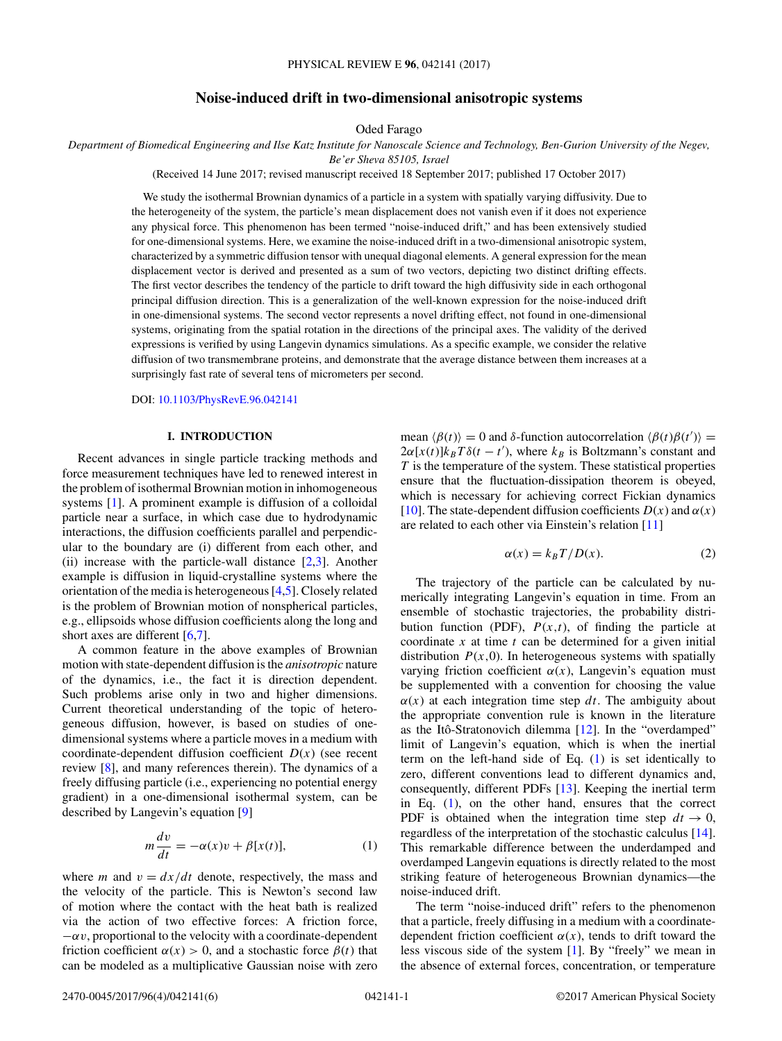# **Noise-induced drift in two-dimensional anisotropic systems**

Oded Farago

<span id="page-0-0"></span>*Department of Biomedical Engineering and Ilse Katz Institute for Nanoscale Science and Technology, Ben-Gurion University of the Negev, Be'er Sheva 85105, Israel*

(Received 14 June 2017; revised manuscript received 18 September 2017; published 17 October 2017)

We study the isothermal Brownian dynamics of a particle in a system with spatially varying diffusivity. Due to the heterogeneity of the system, the particle's mean displacement does not vanish even if it does not experience any physical force. This phenomenon has been termed "noise-induced drift," and has been extensively studied for one-dimensional systems. Here, we examine the noise-induced drift in a two-dimensional anisotropic system, characterized by a symmetric diffusion tensor with unequal diagonal elements. A general expression for the mean displacement vector is derived and presented as a sum of two vectors, depicting two distinct drifting effects. The first vector describes the tendency of the particle to drift toward the high diffusivity side in each orthogonal principal diffusion direction. This is a generalization of the well-known expression for the noise-induced drift in one-dimensional systems. The second vector represents a novel drifting effect, not found in one-dimensional systems, originating from the spatial rotation in the directions of the principal axes. The validity of the derived expressions is verified by using Langevin dynamics simulations. As a specific example, we consider the relative diffusion of two transmembrane proteins, and demonstrate that the average distance between them increases at a surprisingly fast rate of several tens of micrometers per second.

DOI: [10.1103/PhysRevE.96.042141](https://doi.org/10.1103/PhysRevE.96.042141)

# **I. INTRODUCTION**

Recent advances in single particle tracking methods and force measurement techniques have led to renewed interest in the problem of isothermal Brownian motion in inhomogeneous systems [\[1\]](#page-4-0). A prominent example is diffusion of a colloidal particle near a surface, in which case due to hydrodynamic interactions, the diffusion coefficients parallel and perpendicular to the boundary are (i) different from each other, and (ii) increase with the particle-wall distance  $[2,3]$ . Another example is diffusion in liquid-crystalline systems where the orientation of the media is heterogeneous [\[4,5\]](#page-4-0). Closely related is the problem of Brownian motion of nonspherical particles, e.g., ellipsoids whose diffusion coefficients along the long and short axes are different [\[6,7\]](#page-4-0).

A common feature in the above examples of Brownian motion with state-dependent diffusion is the *anisotropic* nature of the dynamics, i.e., the fact it is direction dependent. Such problems arise only in two and higher dimensions. Current theoretical understanding of the topic of heterogeneous diffusion, however, is based on studies of onedimensional systems where a particle moves in a medium with coordinate-dependent diffusion coefficient  $D(x)$  (see recent review [\[8\]](#page-4-0), and many references therein). The dynamics of a freely diffusing particle (i.e., experiencing no potential energy gradient) in a one-dimensional isothermal system, can be described by Langevin's equation [\[9\]](#page-4-0)

$$
m\frac{dv}{dt} = -\alpha(x)v + \beta[x(t)],\tag{1}
$$

where *m* and  $v = dx/dt$  denote, respectively, the mass and the velocity of the particle. This is Newton's second law of motion where the contact with the heat bath is realized via the action of two effective forces: A friction force,  $-\alpha v$ , proportional to the velocity with a coordinate-dependent friction coefficient  $\alpha(x) > 0$ , and a stochastic force  $\beta(t)$  that can be modeled as a multiplicative Gaussian noise with zero

mean  $\langle \beta(t) \rangle = 0$  and *δ*-function autocorrelation  $\langle \beta(t) \beta(t') \rangle =$  $2\alpha[x(t)]k_BT\delta(t-t')$ , where  $k_B$  is Boltzmann's constant and *T* is the temperature of the system. These statistical properties ensure that the fluctuation-dissipation theorem is obeyed, which is necessary for achieving correct Fickian dynamics [\[10\]](#page-4-0). The state-dependent diffusion coefficients  $D(x)$  and  $\alpha(x)$ are related to each other via Einstein's relation [\[11\]](#page-4-0)

$$
\alpha(x) = k_B T / D(x). \tag{2}
$$

The trajectory of the particle can be calculated by numerically integrating Langevin's equation in time. From an ensemble of stochastic trajectories, the probability distribution function (PDF),  $P(x,t)$ , of finding the particle at coordinate  $x$  at time  $t$  can be determined for a given initial distribution  $P(x,0)$ . In heterogeneous systems with spatially varying friction coefficient  $\alpha(x)$ , Langevin's equation must be supplemented with a convention for choosing the value  $\alpha(x)$  at each integration time step *dt*. The ambiguity about the appropriate convention rule is known in the literature as the Itô-Stratonovich dilemma [\[12\]](#page-4-0). In the "overdamped" limit of Langevin's equation, which is when the inertial term on the left-hand side of Eq. (1) is set identically to zero, different conventions lead to different dynamics and, consequently, different PDFs [\[13\]](#page-4-0). Keeping the inertial term in Eq. (1), on the other hand, ensures that the correct PDF is obtained when the integration time step  $dt \rightarrow 0$ , regardless of the interpretation of the stochastic calculus [\[14\]](#page-4-0). This remarkable difference between the underdamped and overdamped Langevin equations is directly related to the most striking feature of heterogeneous Brownian dynamics—the noise-induced drift.

The term "noise-induced drift" refers to the phenomenon that a particle, freely diffusing in a medium with a coordinatedependent friction coefficient  $\alpha(x)$ , tends to drift toward the less viscous side of the system [\[1\]](#page-4-0). By "freely" we mean in the absence of external forces, concentration, or temperature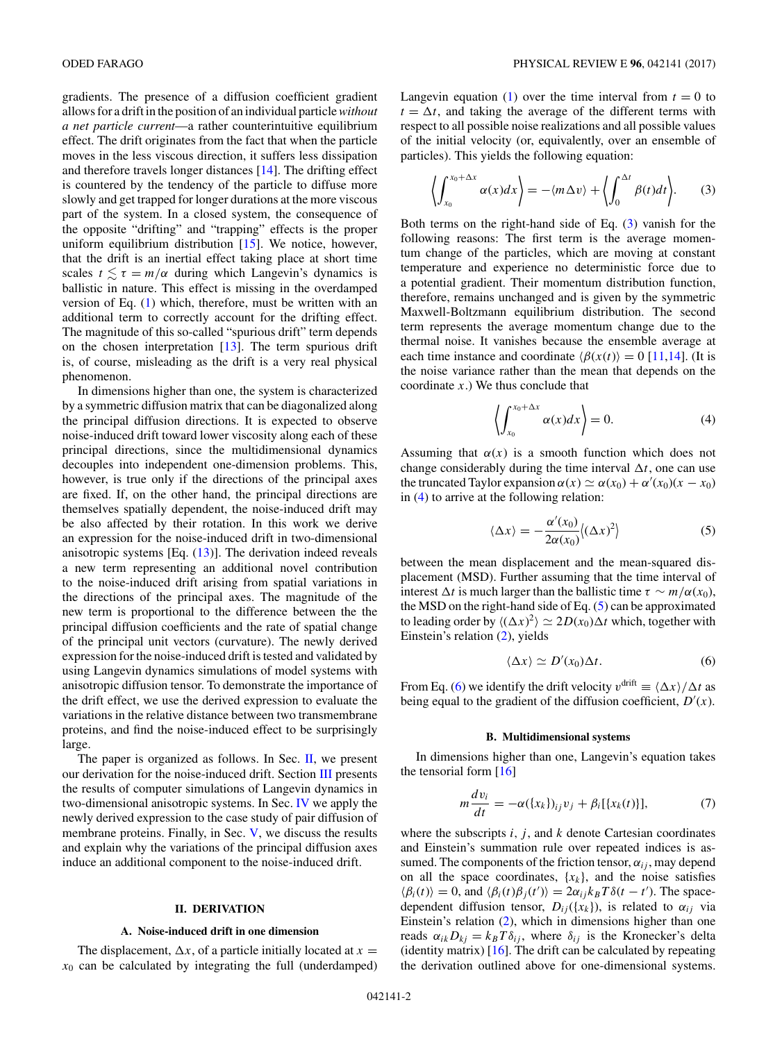<span id="page-1-0"></span>gradients. The presence of a diffusion coefficient gradient allows for a drift in the position of an individual particle*without a net particle current*—a rather counterintuitive equilibrium effect. The drift originates from the fact that when the particle moves in the less viscous direction, it suffers less dissipation and therefore travels longer distances [\[14\]](#page-4-0). The drifting effect is countered by the tendency of the particle to diffuse more slowly and get trapped for longer durations at the more viscous part of the system. In a closed system, the consequence of the opposite "drifting" and "trapping" effects is the proper uniform equilibrium distribution [\[15\]](#page-4-0). We notice, however, that the drift is an inertial effect taking place at short time scales  $t \lesssim \tau = m/\alpha$  during which Langevin's dynamics is ballistic in nature. This effect is missing in the overdamped version of Eq. [\(1\)](#page-0-0) which, therefore, must be written with an additional term to correctly account for the drifting effect. The magnitude of this so-called "spurious drift" term depends on the chosen interpretation [\[13\]](#page-4-0). The term spurious drift is, of course, misleading as the drift is a very real physical phenomenon.

In dimensions higher than one, the system is characterized by a symmetric diffusion matrix that can be diagonalized along the principal diffusion directions. It is expected to observe noise-induced drift toward lower viscosity along each of these principal directions, since the multidimensional dynamics decouples into independent one-dimension problems. This, however, is true only if the directions of the principal axes are fixed. If, on the other hand, the principal directions are themselves spatially dependent, the noise-induced drift may be also affected by their rotation. In this work we derive an expression for the noise-induced drift in two-dimensional anisotropic systems  $[Eq. (13)]$  $[Eq. (13)]$  $[Eq. (13)]$ . The derivation indeed reveals a new term representing an additional novel contribution to the noise-induced drift arising from spatial variations in the directions of the principal axes. The magnitude of the new term is proportional to the difference between the the principal diffusion coefficients and the rate of spatial change of the principal unit vectors (curvature). The newly derived expression for the noise-induced drift is tested and validated by using Langevin dynamics simulations of model systems with anisotropic diffusion tensor. To demonstrate the importance of the drift effect, we use the derived expression to evaluate the variations in the relative distance between two transmembrane proteins, and find the noise-induced effect to be surprisingly large.

The paper is organized as follows. In Sec.  $\mathbf{II}$ , we present our derivation for the noise-induced drift. Section [III](#page-2-0) presents the results of computer simulations of Langevin dynamics in two-dimensional anisotropic systems. In Sec. [IV](#page-3-0) we apply the newly derived expression to the case study of pair diffusion of membrane proteins. Finally, in Sec. [V,](#page-4-0) we discuss the results and explain why the variations of the principal diffusion axes induce an additional component to the noise-induced drift.

## **II. DERIVATION**

### **A. Noise-induced drift in one dimension**

The displacement,  $\Delta x$ , of a particle initially located at  $x =$  $x_0$  can be calculated by integrating the full (underdamped) Langevin equation [\(1\)](#page-0-0) over the time interval from  $t = 0$  to  $t = \Delta t$ , and taking the average of the different terms with respect to all possible noise realizations and all possible values of the initial velocity (or, equivalently, over an ensemble of particles). This yields the following equation:

$$
\left\langle \int_{x_0}^{x_0 + \Delta x} \alpha(x) dx \right\rangle = -\langle m \Delta v \rangle + \left\langle \int_0^{\Delta t} \beta(t) dt \right\rangle.
$$
 (3)

Both terms on the right-hand side of Eq. (3) vanish for the following reasons: The first term is the average momentum change of the particles, which are moving at constant temperature and experience no deterministic force due to a potential gradient. Their momentum distribution function, therefore, remains unchanged and is given by the symmetric Maxwell-Boltzmann equilibrium distribution. The second term represents the average momentum change due to the thermal noise. It vanishes because the ensemble average at each time instance and coordinate  $\langle \beta(x(t)) \rangle = 0$  [\[11,14\]](#page-4-0). (It is the noise variance rather than the mean that depends on the coordinate *x*.) We thus conclude that

$$
\left\langle \int_{x_0}^{x_0 + \Delta x} \alpha(x) dx \right\rangle = 0.
$$
 (4)

Assuming that  $\alpha(x)$  is a smooth function which does not change considerably during the time interval  $\Delta t$ , one can use the truncated Taylor expansion  $\alpha(x) \simeq \alpha(x_0) + \alpha'(x_0)(x - x_0)$ in (4) to arrive at the following relation:

$$
\langle \Delta x \rangle = -\frac{\alpha'(x_0)}{2\alpha(x_0)} \langle (\Delta x)^2 \rangle \tag{5}
$$

between the mean displacement and the mean-squared displacement (MSD). Further assuming that the time interval of interest  $\Delta t$  is much larger than the ballistic time  $\tau \sim m/\alpha(x_0)$ , the MSD on the right-hand side of Eq. (5) can be approximated to leading order by  $\langle (\Delta x)^2 \rangle \simeq 2D(x_0) \Delta t$  which, together with Einstein's relation [\(2\)](#page-0-0), yields

$$
\langle \Delta x \rangle \simeq D'(x_0) \Delta t. \tag{6}
$$

From Eq. (6) we identify the drift velocity  $v^{\text{drift}} \equiv \langle \Delta x \rangle / \Delta t$  as being equal to the gradient of the diffusion coefficient,  $D'(x)$ .

#### **B. Multidimensional systems**

In dimensions higher than one, Langevin's equation takes the tensorial form [\[16\]](#page-4-0)

$$
m\frac{dv_i}{dt} = -\alpha(\{x_k\})_{ij}v_j + \beta_i[\{x_k(t)\}],
$$
 (7)

where the subscripts  $i, j$ , and  $k$  denote Cartesian coordinates and Einstein's summation rule over repeated indices is assumed. The components of the friction tensor,  $\alpha_{ij}$ , may depend on all the space coordinates,  $\{x_k\}$ , and the noise satisfies  $\langle \beta_i(t) \rangle = 0$ , and  $\langle \beta_i(t) \beta_j(t') \rangle = 2\alpha_{ij} k_B T \delta(t - t')$ . The spacedependent diffusion tensor,  $D_{ij}({x_k})$ , is related to  $\alpha_{ij}$  via Einstein's relation [\(2\)](#page-0-0), which in dimensions higher than one reads  $\alpha_{ik}D_{kj} = k_B T \delta_{ij}$ , where  $\delta_{ij}$  is the Kronecker's delta (identity matrix) [\[16\]](#page-4-0). The drift can be calculated by repeating the derivation outlined above for one-dimensional systems.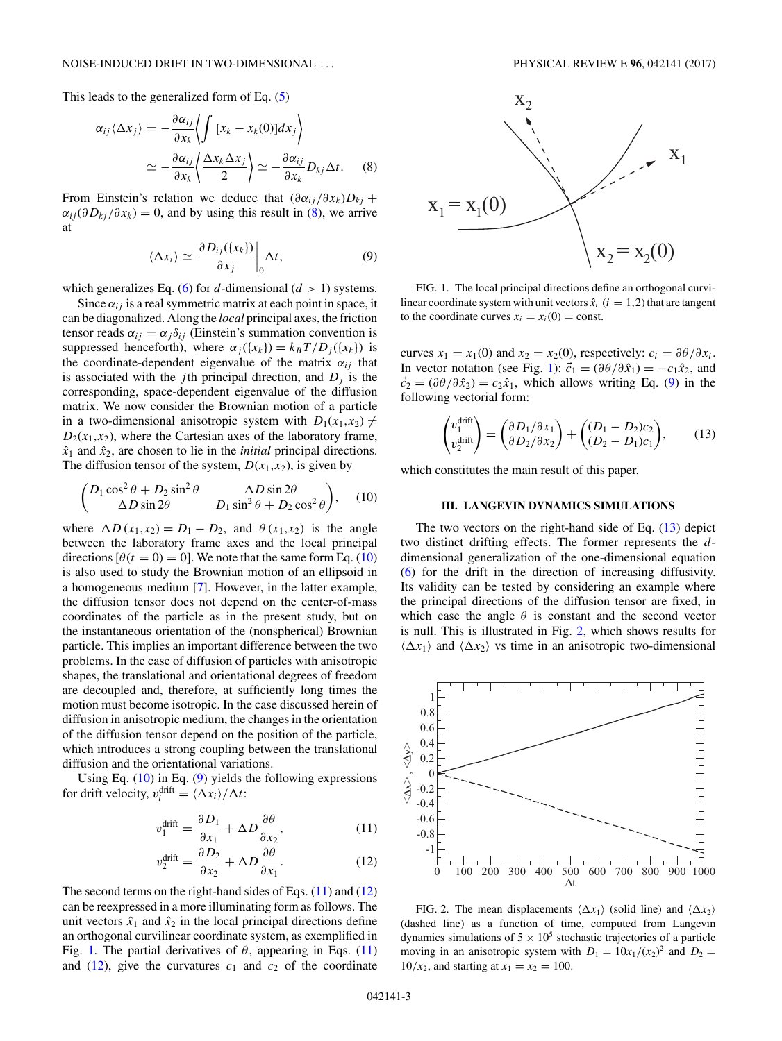<span id="page-2-0"></span>This leads to the generalized form of Eq. [\(5\)](#page-1-0)

$$
\alpha_{ij} \langle \Delta x_j \rangle = -\frac{\partial \alpha_{ij}}{\partial x_k} \left\langle \int \left[ x_k - x_k(0) \right] dx_j \right\rangle
$$
  

$$
\approx -\frac{\partial \alpha_{ij}}{\partial x_k} \left\langle \frac{\Delta x_k \Delta x_j}{2} \right\rangle \approx -\frac{\partial \alpha_{ij}}{\partial x_k} D_{kj} \Delta t. \tag{8}
$$

From Einstein's relation we deduce that  $(\partial \alpha_{ij}/\partial x_k)D_{kj}$  +  $\alpha_{ij}(\partial D_{kj}/\partial x_k) = 0$ , and by using this result in (8), we arrive at

$$
\langle \Delta x_i \rangle \simeq \left. \frac{\partial D_{ij}(\{x_k\})}{\partial x_j} \right|_0 \Delta t, \tag{9}
$$

which generalizes Eq. [\(6\)](#page-1-0) for *d*-dimensional  $(d > 1)$  systems.

Since  $\alpha_{ij}$  is a real symmetric matrix at each point in space, it can be diagonalized. Along the *local* principal axes, the friction tensor reads  $\alpha_{ij} = \alpha_j \delta_{ij}$  (Einstein's summation convention is suppressed henceforth), where  $\alpha_j({x_k}) = k_B T/D_j({x_k})$  is the coordinate-dependent eigenvalue of the matrix  $\alpha_{ij}$  that is associated with the *j*th principal direction, and  $D_i$  is the corresponding, space-dependent eigenvalue of the diffusion matrix. We now consider the Brownian motion of a particle in a two-dimensional anisotropic system with  $D_1(x_1, x_2) \neq$  $D_2(x_1, x_2)$ , where the Cartesian axes of the laboratory frame,  $\hat{x}_1$  and  $\hat{x}_2$ , are chosen to lie in the *initial* principal directions. The diffusion tensor of the system,  $D(x_1, x_2)$ , is given by

$$
\begin{pmatrix} D_1 \cos^2 \theta + D_2 \sin^2 \theta & \Delta D \sin 2\theta \\ \Delta D \sin 2\theta & D_1 \sin^2 \theta + D_2 \cos^2 \theta \end{pmatrix}, \quad (10)
$$

where  $\Delta D(x_1, x_2) = D_1 - D_2$ , and  $\theta(x_1, x_2)$  is the angle between the laboratory frame axes and the local principal directions  $[\theta(t = 0) = 0]$ . We note that the same form Eq. (10) is also used to study the Brownian motion of an ellipsoid in a homogeneous medium [\[7\]](#page-4-0). However, in the latter example, the diffusion tensor does not depend on the center-of-mass coordinates of the particle as in the present study, but on the instantaneous orientation of the (nonspherical) Brownian particle. This implies an important difference between the two problems. In the case of diffusion of particles with anisotropic shapes, the translational and orientational degrees of freedom are decoupled and, therefore, at sufficiently long times the motion must become isotropic. In the case discussed herein of diffusion in anisotropic medium, the changes in the orientation of the diffusion tensor depend on the position of the particle, which introduces a strong coupling between the translational diffusion and the orientational variations.

Using Eq. (10) in Eq. (9) yields the following expressions for drift velocity,  $v_i^{\text{drift}} = \langle \Delta x_i \rangle / \Delta t$ :

$$
v_1^{\text{drift}} = \frac{\partial D_1}{\partial x_1} + \Delta D \frac{\partial \theta}{\partial x_2},\tag{11}
$$

$$
v_2^{\text{drift}} = \frac{\partial D_2}{\partial x_2} + \Delta D \frac{\partial \theta}{\partial x_1}.
$$
 (12)

The second terms on the right-hand sides of Eqs.  $(11)$  and  $(12)$ can be reexpressed in a more illuminating form as follows. The unit vectors  $\hat{x}_1$  and  $\hat{x}_2$  in the local principal directions define an orthogonal curvilinear coordinate system, as exemplified in Fig. 1. The partial derivatives of  $\theta$ , appearing in Eqs. (11) and  $(12)$ , give the curvatures  $c_1$  and  $c_2$  of the coordinate



FIG. 1. The local principal directions define an orthogonal curvilinear coordinate system with unit vectors  $\hat{x}_i$  ( $i = 1, 2$ ) that are tangent to the coordinate curves  $x_i = x_i(0) = \text{const.}$ 

curves  $x_1 = x_1(0)$  and  $x_2 = x_2(0)$ , respectively:  $c_i = \frac{\partial \theta}{\partial x_i}$ . In vector notation (see Fig. 1):  $\vec{c}_1 = (\partial \theta / \partial \hat{x}_1) = -c_1 \hat{x}_2$ , and  $\vec{c}_2 = (\partial \theta / \partial \hat{x}_2) = c_2 \hat{x}_1$ , which allows writing Eq. (9) in the following vectorial form:

$$
\begin{pmatrix} v_1^{\text{drift}} \\ v_2^{\text{drift}} \end{pmatrix} = \begin{pmatrix} \partial D_1/\partial x_1 \\ \partial D_2/\partial x_2 \end{pmatrix} + \begin{pmatrix} (D_1 - D_2)c_2 \\ (D_2 - D_1)c_1 \end{pmatrix},\tag{13}
$$

which constitutes the main result of this paper.

### **III. LANGEVIN DYNAMICS SIMULATIONS**

The two vectors on the right-hand side of Eq. (13) depict two distinct drifting effects. The former represents the *d*dimensional generalization of the one-dimensional equation [\(6\)](#page-1-0) for the drift in the direction of increasing diffusivity. Its validity can be tested by considering an example where the principal directions of the diffusion tensor are fixed, in which case the angle  $\theta$  is constant and the second vector is null. This is illustrated in Fig. 2, which shows results for  $\langle \Delta x_1 \rangle$  and  $\langle \Delta x_2 \rangle$  vs time in an anisotropic two-dimensional



FIG. 2. The mean displacements  $\langle \Delta x_1 \rangle$  (solid line) and  $\langle \Delta x_2 \rangle$ (dashed line) as a function of time, computed from Langevin dynamics simulations of  $5 \times 10^5$  stochastic trajectories of a particle moving in an anisotropic system with  $D_1 = 10x_1/(x_2)^2$  and  $D_2 =$ 10/ $x_2$ , and starting at  $x_1 = x_2 = 100$ .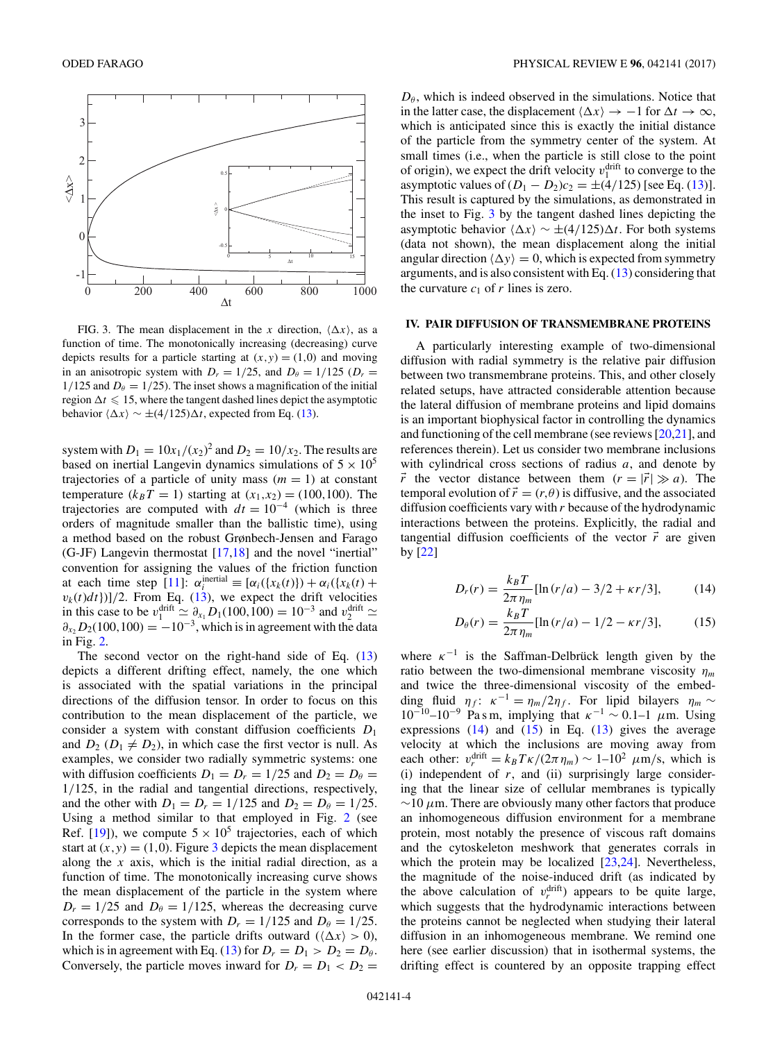<span id="page-3-0"></span>

FIG. 3. The mean displacement in the *x* direction,  $\langle \Delta x \rangle$ , as a function of time. The monotonically increasing (decreasing) curve depicts results for a particle starting at  $(x, y) = (1,0)$  and moving in an anisotropic system with  $D_r = 1/25$ , and  $D_\theta = 1/125$  ( $D_r =$  $1/125$  and  $D_\theta = 1/25$ ). The inset shows a magnification of the initial region  $\Delta t \leq 15$ , where the tangent dashed lines depict the asymptotic behavior  $\langle \Delta x \rangle \sim \pm (4/125) \Delta t$ , expected from Eq. [\(13\)](#page-2-0).

system with  $D_1 = 10x_1/(x_2)^2$  and  $D_2 = 10/x_2$ . The results are based on inertial Langevin dynamics simulations of  $5 \times 10^5$ trajectories of a particle of unity mass  $(m = 1)$  at constant temperature  $(k_B T = 1)$  starting at  $(x_1, x_2) = (100, 100)$ . The trajectories are computed with  $dt = 10^{-4}$  (which is three orders of magnitude smaller than the ballistic time), using a method based on the robust Grønbech-Jensen and Farago (G-JF) Langevin thermostat [\[17,18\]](#page-4-0) and the novel "inertial" convention for assigning the values of the friction function at each time step [\[11\]](#page-4-0):  $\alpha_i^{\text{inertial}} \equiv [\alpha_i({x_k(t)}) + \alpha_i({x_k(t)}) + \alpha_i({x_k(t)})$  $v_k(t)dt$ })]/2. From Eq. [\(13\)](#page-2-0), we expect the drift velocities in this case to be  $v_1^{\text{drift}} \simeq \partial_{x_1} D_1(100, 100) = 10^{-3}$  and  $v_2^{\text{drift}} \simeq$  $\partial_{x_2} D_2(100, 100) = -10^{-3}$ , which is in agreement with the data in Fig. [2.](#page-2-0)

The second vector on the right-hand side of Eq. [\(13\)](#page-2-0) depicts a different drifting effect, namely, the one which is associated with the spatial variations in the principal directions of the diffusion tensor. In order to focus on this contribution to the mean displacement of the particle, we consider a system with constant diffusion coefficients *D*<sup>1</sup> and  $D_2$  ( $D_1 \neq D_2$ ), in which case the first vector is null. As examples, we consider two radially symmetric systems: one with diffusion coefficients  $D_1 = D_r = 1/25$  and  $D_2 = D_\theta =$ 1*/*125, in the radial and tangential directions, respectively, and the other with  $D_1 = D_r = 1/125$  and  $D_2 = D_\theta = 1/25$ . Using a method similar to that employed in Fig. [2](#page-2-0) (see Ref. [\[19\]](#page-4-0)), we compute  $5 \times 10^5$  trajectories, each of which start at  $(x, y) = (1, 0)$ . Figure 3 depicts the mean displacement along the *x* axis, which is the initial radial direction, as a function of time. The monotonically increasing curve shows the mean displacement of the particle in the system where  $D_r = 1/25$  and  $D_\theta = 1/125$ , whereas the decreasing curve corresponds to the system with  $D_r = 1/125$  and  $D_\theta = 1/25$ . In the former case, the particle drifts outward ( $\langle \Delta x \rangle > 0$ ), which is in agreement with Eq. [\(13\)](#page-2-0) for  $D_r = D_1 > D_2 = D_\theta$ . Conversely, the particle moves inward for  $D_r = D_1 < D_2$ 

 $D_{\theta}$ , which is indeed observed in the simulations. Notice that in the latter case, the displacement  $\langle \Delta x \rangle \rightarrow -1$  for  $\Delta t \rightarrow \infty$ , which is anticipated since this is exactly the initial distance of the particle from the symmetry center of the system. At small times (i.e., when the particle is still close to the point of origin), we expect the drift velocity  $v_1^{\text{drift}}$  to converge to the asymptotic values of  $(D_1 - D_2)c_2 = \pm (4/125)$  [see Eq. [\(13\)](#page-2-0)]. This result is captured by the simulations, as demonstrated in the inset to Fig. 3 by the tangent dashed lines depicting the asymptotic behavior  $\langle \Delta x \rangle \sim \pm (4/125) \Delta t$ . For both systems (data not shown), the mean displacement along the initial angular direction  $\langle \Delta y \rangle = 0$ , which is expected from symmetry arguments, and is also consistent with Eq. [\(13\)](#page-2-0) considering that the curvature  $c_1$  of  $r$  lines is zero.

# **IV. PAIR DIFFUSION OF TRANSMEMBRANE PROTEINS**

A particularly interesting example of two-dimensional diffusion with radial symmetry is the relative pair diffusion between two transmembrane proteins. This, and other closely related setups, have attracted considerable attention because the lateral diffusion of membrane proteins and lipid domains is an important biophysical factor in controlling the dynamics and functioning of the cell membrane (see reviews [\[20,21\]](#page-4-0), and references therein). Let us consider two membrane inclusions with cylindrical cross sections of radius *a*, and denote by  $\vec{r}$  the vector distance between them  $(r = |\vec{r}| \gg a)$ . The temporal evolution of  $\vec{r} = (r, \theta)$  is diffusive, and the associated diffusion coefficients vary with *r* because of the hydrodynamic interactions between the proteins. Explicitly, the radial and tangential diffusion coefficients of the vector  $\vec{r}$  are given by [\[22\]](#page-4-0)

$$
D_r(r) = \frac{k_B T}{2\pi \eta_m} [\ln(r/a) - 3/2 + \kappa r/3],\tag{14}
$$

$$
D_{\theta}(r) = \frac{k_B T}{2\pi \eta_m} [\ln (r/a) - 1/2 - \kappa r/3],
$$
 (15)

where  $\kappa^{-1}$  is the Saffman-Delbrück length given by the ratio between the two-dimensional membrane viscosity *ηm* and twice the three-dimensional viscosity of the embedding fluid  $\eta_f$ :  $\kappa^{-1} = \eta_m/2\eta_f$ . For lipid bilayers  $\eta_m \sim$ 10<sup>−</sup>10–10<sup>−</sup><sup>9</sup> Pa s m, implying that *κ*<sup>−</sup><sup>1</sup> ∼ 0*.*1–1 *μ*m. Using expressions  $(14)$  and  $(15)$  in Eq.  $(13)$  gives the average velocity at which the inclusions are moving away from each other:  $v_r^{\text{drift}} = k_B T \kappa / (2\pi \eta_m) \sim 1 - 10^2 \mu \text{m/s}$ , which is (i) independent of  $r$ , and (ii) surprisingly large considering that the linear size of cellular membranes is typically  $\sim$ 10  $\mu$ m. There are obviously many other factors that produce an inhomogeneous diffusion environment for a membrane protein, most notably the presence of viscous raft domains and the cytoskeleton meshwork that generates corrals in which the protein may be localized [\[23,24\]](#page-5-0). Nevertheless, the magnitude of the noise-induced drift (as indicated by the above calculation of  $v_r^{\text{drift}}$  appears to be quite large, which suggests that the hydrodynamic interactions between the proteins cannot be neglected when studying their lateral diffusion in an inhomogeneous membrane. We remind one here (see earlier discussion) that in isothermal systems, the drifting effect is countered by an opposite trapping effect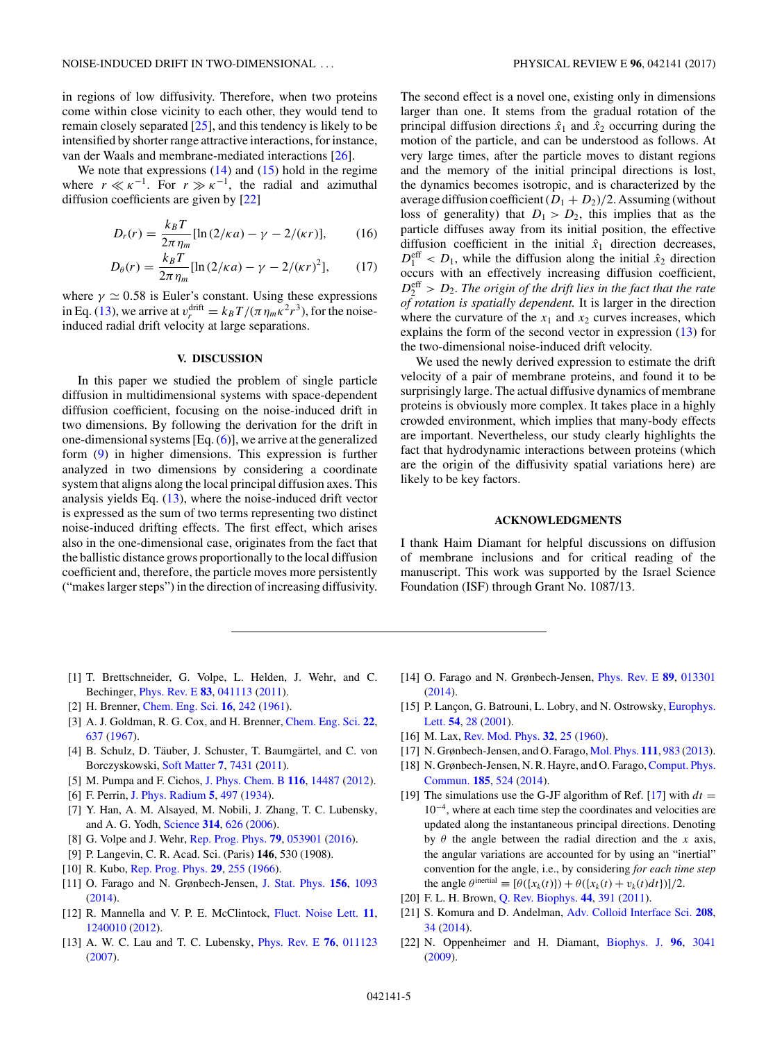<span id="page-4-0"></span>in regions of low diffusivity. Therefore, when two proteins come within close vicinity to each other, they would tend to remain closely separated [\[25\]](#page-5-0), and this tendency is likely to be intensified by shorter range attractive interactions, for instance, van der Waals and membrane-mediated interactions [\[26\]](#page-5-0).

We note that expressions  $(14)$  and  $(15)$  hold in the regime where  $r \ll \kappa^{-1}$ . For  $r \gg \kappa^{-1}$ , the radial and azimuthal diffusion coefficients are given by [22]

$$
D_r(r) = \frac{k_B T}{2\pi \eta_m} [\ln(2/\kappa a) - \gamma - 2/(\kappa r)],
$$
 (16)

$$
D_{\theta}(r) = \frac{k_B T}{2\pi \eta_m} [\ln(2/\kappa a) - \gamma - 2/(\kappa r)^2],
$$
 (17)

where  $\gamma \simeq 0.58$  is Euler's constant. Using these expressions in Eq. [\(13\)](#page-2-0), we arrive at  $v_r^{\text{drift}} = k_B T / (\pi \eta_m \kappa^2 r^3)$ , for the noiseinduced radial drift velocity at large separations.

## **V. DISCUSSION**

In this paper we studied the problem of single particle diffusion in multidimensional systems with space-dependent diffusion coefficient, focusing on the noise-induced drift in two dimensions. By following the derivation for the drift in one-dimensional systems  $[Eq. (6)]$  $[Eq. (6)]$  $[Eq. (6)]$ , we arrive at the generalized form [\(9\)](#page-2-0) in higher dimensions. This expression is further analyzed in two dimensions by considering a coordinate system that aligns along the local principal diffusion axes. This analysis yields Eq. [\(13\)](#page-2-0), where the noise-induced drift vector is expressed as the sum of two terms representing two distinct noise-induced drifting effects. The first effect, which arises also in the one-dimensional case, originates from the fact that the ballistic distance grows proportionally to the local diffusion coefficient and, therefore, the particle moves more persistently ("makes larger steps") in the direction of increasing diffusivity.

The second effect is a novel one, existing only in dimensions larger than one. It stems from the gradual rotation of the principal diffusion directions  $\hat{x}_1$  and  $\hat{x}_2$  occurring during the motion of the particle, and can be understood as follows. At very large times, after the particle moves to distant regions and the memory of the initial principal directions is lost, the dynamics becomes isotropic, and is characterized by the average diffusion coefficient  $(D_1 + D_2)/2$ . Assuming (without loss of generality) that  $D_1 > D_2$ , this implies that as the particle diffuses away from its initial position, the effective diffusion coefficient in the initial  $\hat{x}_1$  direction decreases,  $D_1^{\text{eff}} < D_1$ , while the diffusion along the initial  $\hat{x}_2$  direction occurs with an effectively increasing diffusion coefficient,  $D_2^{\text{eff}} > D_2$ . The origin of the drift lies in the fact that the rate *of rotation is spatially dependent.* It is larger in the direction where the curvature of the  $x_1$  and  $x_2$  curves increases, which explains the form of the second vector in expression [\(13\)](#page-2-0) for the two-dimensional noise-induced drift velocity.

We used the newly derived expression to estimate the drift velocity of a pair of membrane proteins, and found it to be surprisingly large. The actual diffusive dynamics of membrane proteins is obviously more complex. It takes place in a highly crowded environment, which implies that many-body effects are important. Nevertheless, our study clearly highlights the fact that hydrodynamic interactions between proteins (which are the origin of the diffusivity spatial variations here) are likely to be key factors.

# **ACKNOWLEDGMENTS**

I thank Haim Diamant for helpful discussions on diffusion of membrane inclusions and for critical reading of the manuscript. This work was supported by the Israel Science Foundation (ISF) through Grant No. 1087/13.

- [1] T. Brettschneider, G. Volpe, L. Helden, J. Wehr, and C. Bechinger, [Phys. Rev. E](https://doi.org/10.1103/PhysRevE.83.041113) **[83](https://doi.org/10.1103/PhysRevE.83.041113)**, [041113](https://doi.org/10.1103/PhysRevE.83.041113) [\(2011\)](https://doi.org/10.1103/PhysRevE.83.041113).
- [2] H. Brenner, [Chem. Eng. Sci.](https://doi.org/10.1016/0009-2509(61)80035-3) **[16](https://doi.org/10.1016/0009-2509(61)80035-3)**, [242](https://doi.org/10.1016/0009-2509(61)80035-3) [\(1961\)](https://doi.org/10.1016/0009-2509(61)80035-3).
- [3] A. J. Goldman, R. G. Cox, and H. Brenner, [Chem. Eng. Sci.](https://doi.org/10.1016/0009-2509(67)80047-2) **[22](https://doi.org/10.1016/0009-2509(67)80047-2)**, [637](https://doi.org/10.1016/0009-2509(67)80047-2) [\(1967\)](https://doi.org/10.1016/0009-2509(67)80047-2).
- [4] B. Schulz, D. Täuber, J. Schuster, T. Baumgärtel, and C. von Borczyskowski, [Soft Matter](https://doi.org/10.1039/c1sm05434a) **[7](https://doi.org/10.1039/c1sm05434a)**, [7431](https://doi.org/10.1039/c1sm05434a) [\(2011\)](https://doi.org/10.1039/c1sm05434a).
- [5] M. Pumpa and F. Cichos, [J. Phys. Chem. B](https://doi.org/10.1021/jp307403w) **[116](https://doi.org/10.1021/jp307403w)**, [14487](https://doi.org/10.1021/jp307403w) [\(2012\)](https://doi.org/10.1021/jp307403w).
- [6] F. Perrin, [J. Phys. Radium](https://doi.org/10.1051/jphysrad:01934005010049700) **[5](https://doi.org/10.1051/jphysrad:01934005010049700)**, [497](https://doi.org/10.1051/jphysrad:01934005010049700) [\(1934\)](https://doi.org/10.1051/jphysrad:01934005010049700).
- [7] Y. Han, A. M. Alsayed, M. Nobili, J. Zhang, T. C. Lubensky, and A. G. Yodh, [Science](https://doi.org/10.1126/science.1130146) **[314](https://doi.org/10.1126/science.1130146)**, [626](https://doi.org/10.1126/science.1130146) [\(2006\)](https://doi.org/10.1126/science.1130146).
- [8] G. Volpe and J. Wehr, [Rep. Prog. Phys.](https://doi.org/10.1088/0034-4885/79/5/053901) **[79](https://doi.org/10.1088/0034-4885/79/5/053901)**, [053901](https://doi.org/10.1088/0034-4885/79/5/053901) [\(2016\)](https://doi.org/10.1088/0034-4885/79/5/053901).
- [9] P. Langevin, C. R. Acad. Sci. (Paris) **146**, 530 (1908).
- [10] R. Kubo, [Rep. Prog. Phys.](https://doi.org/10.1088/0034-4885/29/1/306) **[29](https://doi.org/10.1088/0034-4885/29/1/306)**, [255](https://doi.org/10.1088/0034-4885/29/1/306) [\(1966\)](https://doi.org/10.1088/0034-4885/29/1/306).
- [11] O. Farago and N. Grønbech-Jensen, [J. Stat. Phys.](https://doi.org/10.1007/s10955-014-1045-4) **[156](https://doi.org/10.1007/s10955-014-1045-4)**, [1093](https://doi.org/10.1007/s10955-014-1045-4) [\(2014\)](https://doi.org/10.1007/s10955-014-1045-4).
- [12] R. Mannella and V. P. E. McClintock, [Fluct. Noise Lett.](https://doi.org/10.1142/S021947751240010X) **[11](https://doi.org/10.1142/S021947751240010X)**, [1240010](https://doi.org/10.1142/S021947751240010X) [\(2012\)](https://doi.org/10.1142/S021947751240010X).
- [13] A. W. C. Lau and T. C. Lubensky, [Phys. Rev. E](https://doi.org/10.1103/PhysRevE.76.011123) **[76](https://doi.org/10.1103/PhysRevE.76.011123)**, [011123](https://doi.org/10.1103/PhysRevE.76.011123) [\(2007\)](https://doi.org/10.1103/PhysRevE.76.011123).
- [14] O. Farago and N. Grønbech-Jensen, [Phys. Rev. E](https://doi.org/10.1103/PhysRevE.89.013301) **[89](https://doi.org/10.1103/PhysRevE.89.013301)**, [013301](https://doi.org/10.1103/PhysRevE.89.013301) [\(2014\)](https://doi.org/10.1103/PhysRevE.89.013301).
- [15] [P. Lançon, G. Batrouni, L. Lobry, and N. Ostrowsky,](https://doi.org/10.1209/epl/i2001-00103-6) Europhys. Lett. **[54](https://doi.org/10.1209/epl/i2001-00103-6)**, [28](https://doi.org/10.1209/epl/i2001-00103-6) [\(2001\)](https://doi.org/10.1209/epl/i2001-00103-6).
- [16] M. Lax, [Rev. Mod. Phys.](https://doi.org/10.1103/RevModPhys.32.25) **[32](https://doi.org/10.1103/RevModPhys.32.25)**, [25](https://doi.org/10.1103/RevModPhys.32.25) [\(1960\)](https://doi.org/10.1103/RevModPhys.32.25).
- [17] N. Grønbech-Jensen, and O. Farago, [Mol. Phys.](https://doi.org/10.1080/00268976.2012.760055) **[111](https://doi.org/10.1080/00268976.2012.760055)**, [983](https://doi.org/10.1080/00268976.2012.760055) [\(2013\)](https://doi.org/10.1080/00268976.2012.760055).
- [18] N. Grønbech-Jensen, N. R. Hayre, and O. Farago, Comput. Phys. Commun. **[185](https://doi.org/10.1016/j.cpc.2013.10.006)**, [524](https://doi.org/10.1016/j.cpc.2013.10.006) [\(2014\)](https://doi.org/10.1016/j.cpc.2013.10.006).
- [19] The simulations use the G-JF algorithm of Ref. [17] with  $dt =$ 10<sup>−</sup>4, where at each time step the coordinates and velocities are updated along the instantaneous principal directions. Denoting by  $\theta$  the angle between the radial direction and the *x* axis, the angular variations are accounted for by using an "inertial" convention for the angle, i.e., by considering *for each time step* the angle  $\theta^{\text{inertial}} \equiv [\theta({x_k(t)}) + \theta({x_k(t) + v_k(t)dt})]/2.$
- [20] F. L. H. Brown, [Q. Rev. Biophys.](https://doi.org/10.1017/S0033583511000047) **[44](https://doi.org/10.1017/S0033583511000047)**, [391](https://doi.org/10.1017/S0033583511000047) [\(2011\)](https://doi.org/10.1017/S0033583511000047).
- [21] S. Komura and D. Andelman, [Adv. Colloid Interface Sci.](https://doi.org/10.1016/j.cis.2013.12.003) **[208](https://doi.org/10.1016/j.cis.2013.12.003)**, [34](https://doi.org/10.1016/j.cis.2013.12.003) [\(2014\)](https://doi.org/10.1016/j.cis.2013.12.003).
- [22] N. Oppenheimer and H. Diamant, [Biophys. J.](https://doi.org/10.1016/j.bpj.2009.01.020) **[96](https://doi.org/10.1016/j.bpj.2009.01.020)**, [3041](https://doi.org/10.1016/j.bpj.2009.01.020) [\(2009\)](https://doi.org/10.1016/j.bpj.2009.01.020).